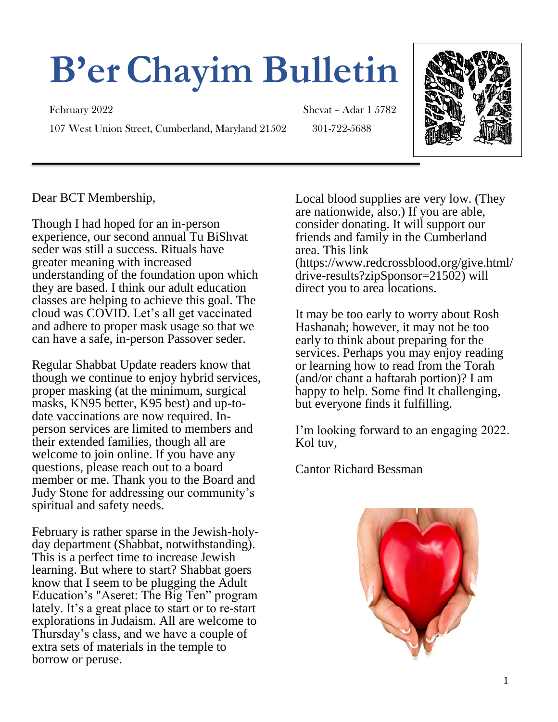# **B'erChayim Bulletin**

February 2022 Shevat – Adar 1 5782 107 West Union Street, Cumberland, Maryland 21502 301-722-5688



Dear BCT Membership,

Though I had hoped for an in-person experience, our second annual Tu BiShvat seder was still a success. Rituals have greater meaning with increased understanding of the foundation upon which they are based. I think our adult education classes are helping to achieve this goal. The cloud was COVID. Let's all get vaccinated and adhere to proper mask usage so that we can have a safe, in-person Passover seder.

Regular Shabbat Update readers know that though we continue to enjoy hybrid services, proper masking (at the minimum, surgical masks, KN95 better, K95 best) and up-todate vaccinations are now required. Inperson services are limited to members and their extended families, though all are welcome to join online. If you have any questions, please reach out to a board member or me. Thank you to the Board and Judy Stone for addressing our community's spiritual and safety needs.

February is rather sparse in the Jewish-holyday department (Shabbat, notwithstanding). This is a perfect time to increase Jewish learning. But where to start? Shabbat goers know that I seem to be plugging the Adult Education's "Aseret: The Big Ten" program lately. It's a great place to start or to re-start explorations in Judaism. All are welcome to Thursday's class, and we have a couple of extra sets of materials in the temple to borrow or peruse.

Local blood supplies are very low. (They are nationwide, also.) If you are able, consider donating. It will support our friends and family in the Cumberland area. This link (https://www.redcrossblood.org/give.html/ drive-results?zipSponsor=21502) will direct you to area locations.

It may be too early to worry about Rosh Hashanah; however, it may not be too early to think about preparing for the services. Perhaps you may enjoy reading or learning how to read from the Torah (and/or chant a haftarah portion)? I am happy to help. Some find It challenging, but everyone finds it fulfilling.

I'm looking forward to an engaging 2022. Kol tuv,

Cantor Richard Bessman

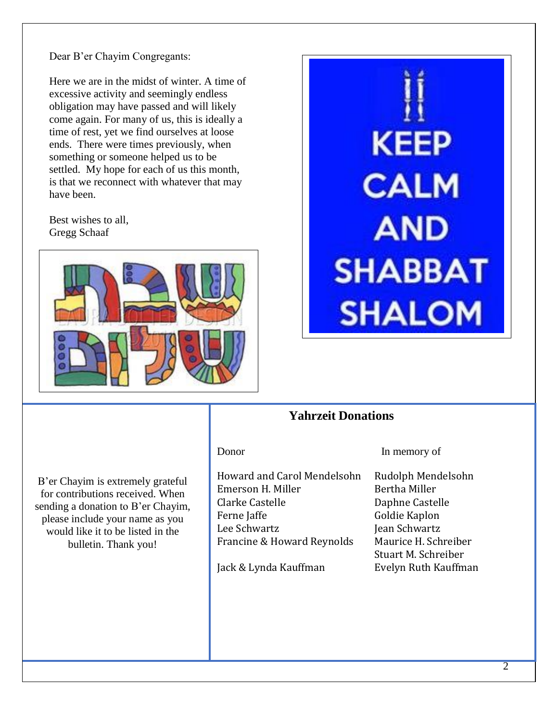Dear B'er Chayim Congregants:

Here we are in the midst of winter. A time of excessive activity and seemingly endless obligation may have passed and will likely come again. For many of us, this is ideally a time of rest, yet we find ourselves at loose ends. There were times previously, when something or someone helped us to be settled. My hope for each of us this month, is that we reconnect with whatever that may have been.

Best wishes to all, Gregg Schaaf





#### **Yahrzeit Donations**

B'er Chayim is extremely grateful for contributions received. When sending a donation to B'er Chayim, please include your name as you would like it to be listed in the bulletin. Thank you!

Howard and Carol Mendelsohn Rudolph Mendelsohn Emerson H. Miller Bertha Miller Clarke Castelle Daphne Castelle Ferne Jaffe Goldie Kaplon Lee Schwartz **International Schwartz** Jean Schwartz Francine & Howard Reynolds Maurice H. Schreiber

Jack & Lynda Kauffman Evelyn Ruth Kauffman

Donor In memory of

Stuart M. Schreiber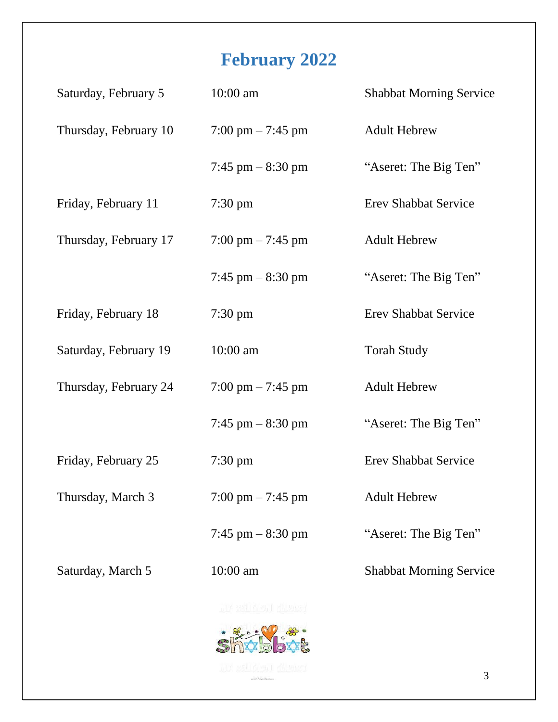## **February 2022**

| Saturday, February 5  | $10:00$ am                          | <b>Shabbat Morning Service</b> |
|-----------------------|-------------------------------------|--------------------------------|
| Thursday, February 10 | $7:00 \text{ pm} - 7:45 \text{ pm}$ | <b>Adult Hebrew</b>            |
|                       | 7:45 pm $-$ 8:30 pm                 | "Aseret: The Big Ten"          |
| Friday, February 11   | $7:30 \text{ pm}$                   | <b>Erev Shabbat Service</b>    |
| Thursday, February 17 | $7:00 \text{ pm} - 7:45 \text{ pm}$ | <b>Adult Hebrew</b>            |
|                       | 7:45 pm $-$ 8:30 pm                 | "Aseret: The Big Ten"          |
| Friday, February 18   | $7:30 \text{ pm}$                   | <b>Erev Shabbat Service</b>    |
| Saturday, February 19 | 10:00 am                            | <b>Torah Study</b>             |
| Thursday, February 24 | $7:00 \text{ pm} - 7:45 \text{ pm}$ | <b>Adult Hebrew</b>            |
|                       | 7:45 pm $-$ 8:30 pm                 | "Aseret: The Big Ten"          |
| Friday, February 25   | $7:30 \text{ pm}$                   | <b>Erev Shabbat Service</b>    |
| Thursday, March 3     | $7:00 \text{ pm} - 7:45 \text{ pm}$ | <b>Adult Hebrew</b>            |
|                       | 7:45 pm $-$ 8:30 pm                 | "Aseret: The Big Ten"          |
| Saturday, March 5     | $10:00$ am                          | <b>Shabbat Morning Service</b> |
|                       | IA SALIARDI Kluusek                 |                                |



3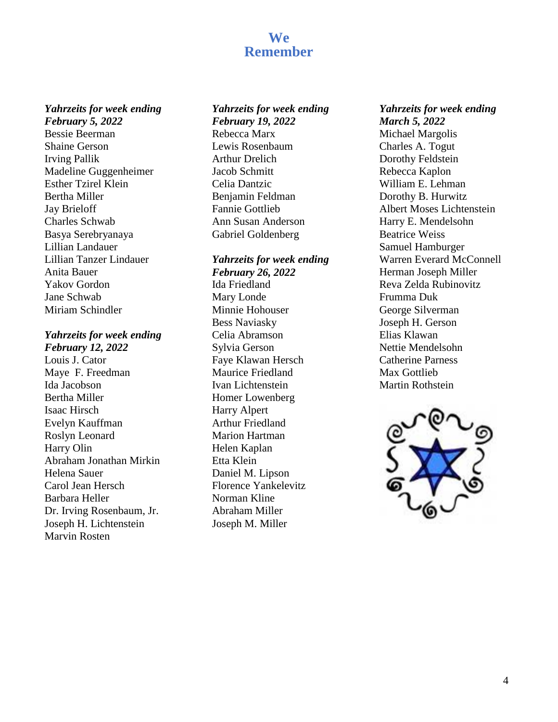### **We Remember**

#### *Yahrzeits for week ending February 5, 2022*

Bessie Beerman Shaine Gerson Irving Pallik Madeline Guggenheimer Esther Tzirel Klein Bertha Miller Jay Brieloff Charles Schwab Basya Serebryanaya Lillian Landauer Lillian Tanzer Lindauer Anita Bauer Yakov Gordon Jane Schwab Miriam Schindler

### *Yahrzeits for week ending*

*February 12, 2022* Louis J. Cator Maye F. Freedman Ida Jacobson Bertha Miller Isaac Hirsch Evelyn Kauffman Roslyn Leonard Harry Olin Abraham Jonathan Mirkin Helena Sauer Carol Jean Hersch Barbara Heller Dr. Irving Rosenbaum, Jr. Joseph H. Lichtenstein Marvin Rosten

#### *Yahrzeits for week ending February 19, 2022*

Rebecca Marx Lewis Rosenbaum Arthur Drelich Jacob Schmitt Celia Dantzic Benjamin Feldman Fannie Gottlieb Ann Susan Anderson Gabriel Goldenberg

#### *Yahrzeits for week ending February 26, 2022* Ida Friedland Mary Londe Minnie Hohouser Bess Naviasky Celia Abramson Sylvia Gerson Faye Klawan Hersch Maurice Friedland Ivan Lichtenstein Homer Lowenberg Harry Alpert Arthur Friedland Marion Hartman Helen Kaplan Etta Klein Daniel M. Lipson Florence Yankelevitz Norman Kline Abraham Miller Joseph M. Miller

*Yahrzeits for week ending March 5, 2022* Michael Margolis Charles A. Togut Dorothy Feldstein Rebecca Kaplon William E. Lehman Dorothy B. Hurwitz Albert Moses Lichtenstein Harry E. Mendelsohn Beatrice Weiss Samuel Hamburger Warren Everard McConnell Herman Joseph Miller Reva Zelda Rubinovitz Frumma Duk George Silverman Joseph H. Gerson Elias Klawan Nettie Mendelsohn Catherine Parness Max Gottlieb Martin Rothstein